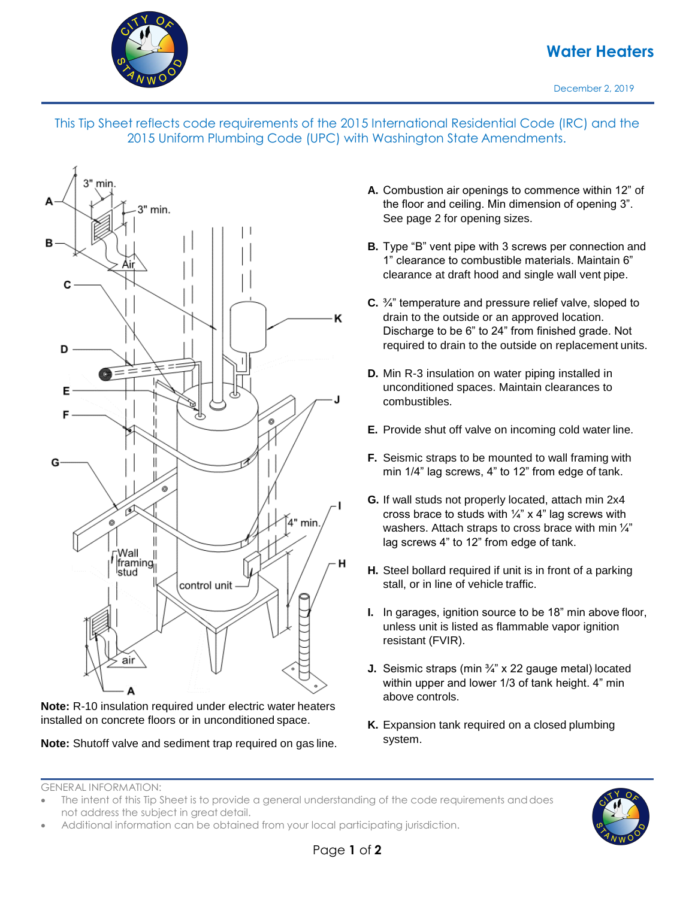

## **Water Heaters**

December 2, 2019





**Note:** R-10 insulation required under electric water heaters installed on concrete floors or in unconditioned space.

**Note:** Shutoff valve and sediment trap required on gas line.

- **A.** Combustion air openings to commence within 12" of the floor and ceiling. Min dimension of opening 3". See page 2 for opening sizes.
- **B.** Type "B" vent pipe with 3 screws per connection and 1" clearance to combustible materials. Maintain 6" clearance at draft hood and single wall vent pipe.
- **C.** ¾" temperature and pressure relief valve, sloped to drain to the outside or an approved location. Discharge to be 6" to 24" from finished grade. Not required to drain to the outside on replacement units.
- **D.** Min R-3 insulation on water piping installed in unconditioned spaces. Maintain clearances to combustibles.
- **E.** Provide shut off valve on incoming cold water line.
- **F.** Seismic straps to be mounted to wall framing with min 1/4" lag screws, 4" to 12" from edge of tank.
- **G.** If wall studs not properly located, attach min 2x4 cross brace to studs with  $\frac{1}{4}$ " x 4" lag screws with washers. Attach straps to cross brace with min  $\frac{1}{4}$ " lag screws 4" to 12" from edge of tank.
- **H.** Steel bollard required if unit is in front of a parking stall, or in line of vehicle traffic.
- **I.** In garages, ignition source to be 18" min above floor, unless unit is listed as flammable vapor ignition resistant (FVIR).
- **J.** Seismic straps (min ¾" x 22 gauge metal) located within upper and lower 1/3 of tank height. 4" min above controls.
- **K.** Expansion tank required on a closed plumbing system.

GENERAL INFORMATION:

• Additional information can be obtained from your local participating jurisdiction.



The intent of this Tip Sheet is to provide a general understanding of the code requirements and does not address the subject in great detail.